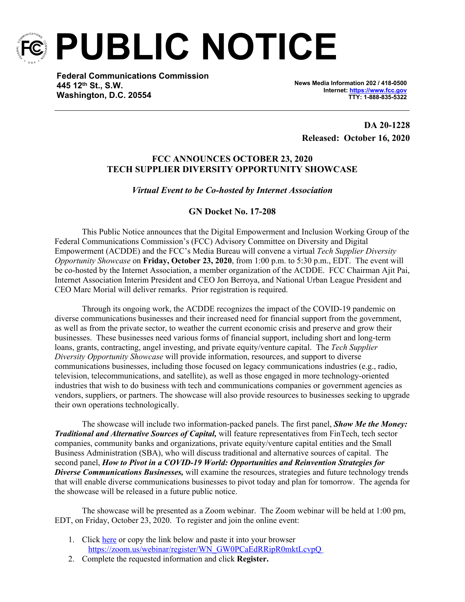

**PUBLIC NOTICE**

**Federal Communications Commission 445 12th St., S.W. Washington, D.C. 20554**

**News Media Information 202 / 418-0500 Internet:<https://www.fcc.gov> TTY: 1-888-835-5322**

**DA 20-1228 Released: October 16, 2020**

## **FCC ANNOUNCES OCTOBER 23, 2020 TECH SUPPLIER DIVERSITY OPPORTUNITY SHOWCASE**

## *Virtual Event to be Co-hosted by Internet Association*

## **GN Docket No. 17-208**

This Public Notice announces that the Digital Empowerment and Inclusion Working Group of the Federal Communications Commission's (FCC) Advisory Committee on Diversity and Digital Empowerment (ACDDE) and the FCC's Media Bureau will convene a virtual *Tech Supplier Diversity Opportunity Showcase* on **Friday, October 23, 2020**, from 1:00 p.m. to 5:30 p.m., EDT. The event will be co-hosted by the Internet Association, a member organization of the ACDDE. FCC Chairman Ajit Pai, Internet Association Interim President and CEO Jon Berroya, and National Urban League President and CEO Marc Morial will deliver remarks. Prior registration is required.

Through its ongoing work, the ACDDE recognizes the impact of the COVID-19 pandemic on diverse communications businesses and their increased need for financial support from the government, as well as from the private sector, to weather the current economic crisis and preserve and grow their businesses. These businesses need various forms of financial support, including short and long-term loans, grants, contracting, angel investing, and private equity/venture capital. The *Tech Supplier Diversity Opportunity Showcase* will provide information, resources, and support to diverse communications businesses, including those focused on legacy communications industries (e.g., radio, television, telecommunications, and satellite), as well as those engaged in more technology-oriented industries that wish to do business with tech and communications companies or government agencies as vendors, suppliers, or partners. The showcase will also provide resources to businesses seeking to upgrade their own operations technologically.

The showcase will include two information-packed panels. The first panel, *Show Me the Money: Traditional and Alternative Sources of Capital,* will feature representatives from FinTech, tech sector companies, community banks and organizations, private equity/venture capital entities and the Small Business Administration (SBA), who will discuss traditional and alternative sources of capital. The second panel, *How to Pivot in a COVID-19 World: Opportunities and Reinvention Strategies for Diverse Communications Businesses,* will examine the resources, strategies and future technology trends that will enable diverse communications businesses to pivot today and plan for tomorrow. The agenda for the showcase will be released in a future public notice.

The showcase will be presented as a Zoom webinar. The Zoom webinar will be held at 1:00 pm, EDT, on Friday, October 23, 2020. To register and join the online event:

- 1. Click [here](https://urldefense.proofpoint.com/v2/url?u=https-3A__zoom.us_webinar_register_WN-5FGW0PCaEdRRipR0mktLcvpQ&d=DwMFaQ&c=y0h0omCe0jAUGr4gAQ02Fw&r=Cs6nRGfuYrvzCfbIto8t7BPZgPBBvHo-p69YVZzxzZQ&m=maEgqtWNnB-v61vapJZwjO28JQ7CF875aD_h1w7sdb8&s=PFKRovh308UHfUDVa7yWkFtwhaHgWHJIq56VPUMcEtY&e=) or copy the link below and paste it into your browser [https://zoom.us/webinar/register/WN\\_GW0PCaEdRRipR0mktLcvpQ](https://urldefense.proofpoint.com/v2/url?u=https-3A__zoom.us_webinar_register_WN-5FGW0PCaEdRRipR0mktLcvpQ&d=DwMFaQ&c=y0h0omCe0jAUGr4gAQ02Fw&r=Cs6nRGfuYrvzCfbIto8t7BPZgPBBvHo-p69YVZzxzZQ&m=maEgqtWNnB-v61vapJZwjO28JQ7CF875aD_h1w7sdb8&s=PFKRovh308UHfUDVa7yWkFtwhaHgWHJIq56VPUMcEtY&e=)
- 2. Complete the requested information and click **Register.**